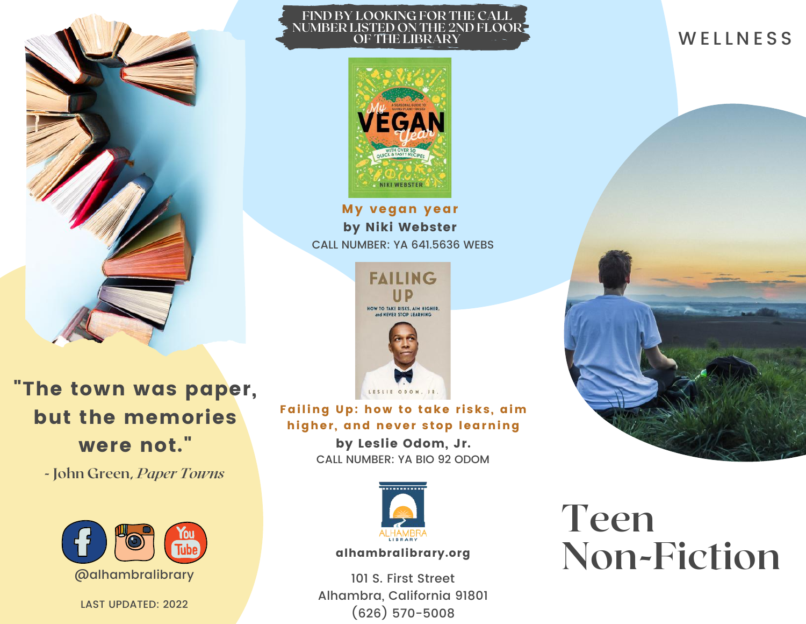

**FIND BY LOOKING FOR THE CALL NUMBER LISTED ON THE 2ND FLOOR OF THE LIBRARY**



CALL NUMBER: YA 641.5636 WEBS My vegan year by Niki Webster



"The town was paper, but the memories were not."

**- John Green,** *Paper Towns*



LAST UPDATED: 2022

Failing Up: how to take risks, aim higher, and never stop learning

> by Leslie Odom, Jr. CALL NUMBER: YA BIO 92 ODOM



alhambralibrary.org

101 S. First Street Alhambra, California 91801 (626) 570-5008

# **Teen Non-Fiction**

## **WELLNESS**